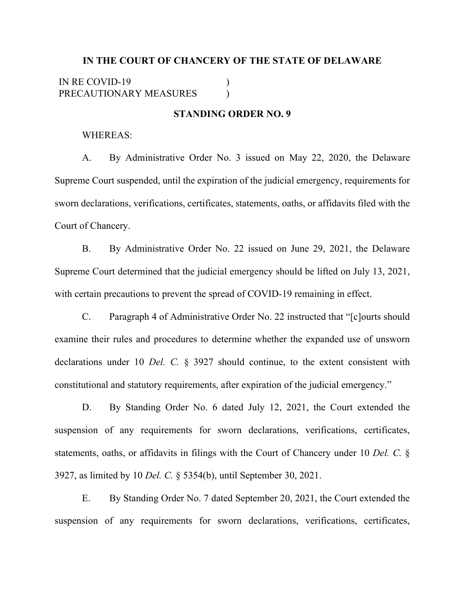## **IN THE COURT OF CHANCERY OF THE STATE OF DELAWARE** IN RE COVID-19 PRECAUTIONARY MEASURES )  $\lambda$

## **STANDING ORDER NO. 9**

## WHEREAS:

A. By Administrative Order No. 3 issued on May 22, 2020, the Delaware Supreme Court suspended, until the expiration of the judicial emergency, requirements for sworn declarations, verifications, certificates, statements, oaths, or affidavits filed with the Court of Chancery.

B. By Administrative Order No. 22 issued on June 29, 2021, the Delaware Supreme Court determined that the judicial emergency should be lifted on July 13, 2021, with certain precautions to prevent the spread of COVID-19 remaining in effect.

C. Paragraph 4 of Administrative Order No. 22 instructed that "[c]ourts should examine their rules and procedures to determine whether the expanded use of unsworn declarations under 10 *Del. C.* § 3927 should continue, to the extent consistent with constitutional and statutory requirements, after expiration of the judicial emergency."

D. By Standing Order No. 6 dated July 12, 2021, the Court extended the suspension of any requirements for sworn declarations, verifications, certificates, statements, oaths, or affidavits in filings with the Court of Chancery under 10 *Del. C.* § 3927, as limited by 10 *Del. C.* § 5354(b), until September 30, 2021.

E. By Standing Order No. 7 dated September 20, 2021, the Court extended the suspension of any requirements for sworn declarations, verifications, certificates,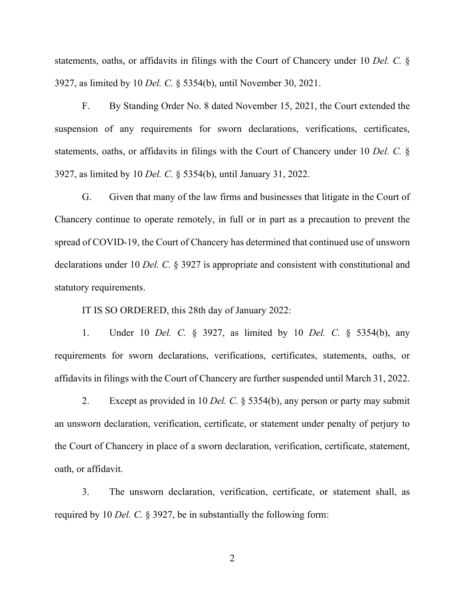statements, oaths, or affidavits in filings with the Court of Chancery under 10 *Del. C.* § 3927, as limited by 10 *Del. C.* § 5354(b), until November 30, 2021.

F. By Standing Order No. 8 dated November 15, 2021, the Court extended the suspension of any requirements for sworn declarations, verifications, certificates, statements, oaths, or affidavits in filings with the Court of Chancery under 10 *Del. C.* § 3927, as limited by 10 *Del. C.* § 5354(b), until January 31, 2022.

G. Given that many of the law firms and businesses that litigate in the Court of Chancery continue to operate remotely, in full or in part as a precaution to prevent the spread of COVID-19, the Court of Chancery has determined that continued use of unsworn declarations under 10 *Del. C.* § 3927 is appropriate and consistent with constitutional and statutory requirements.

IT IS SO ORDERED, this 28th day of January 2022:

1. Under 10 *Del. C.* § 3927, as limited by 10 *Del. C.* § 5354(b), any requirements for sworn declarations, verifications, certificates, statements, oaths, or affidavits in filings with the Court of Chancery are further suspended until March 31, 2022.

2. Except as provided in 10 *Del. C.* § 5354(b), any person or party may submit an unsworn declaration, verification, certificate, or statement under penalty of perjury to the Court of Chancery in place of a sworn declaration, verification, certificate, statement, oath, or affidavit.

3. The unsworn declaration, verification, certificate, or statement shall, as required by 10 *Del. C.* § 3927, be in substantially the following form:

2